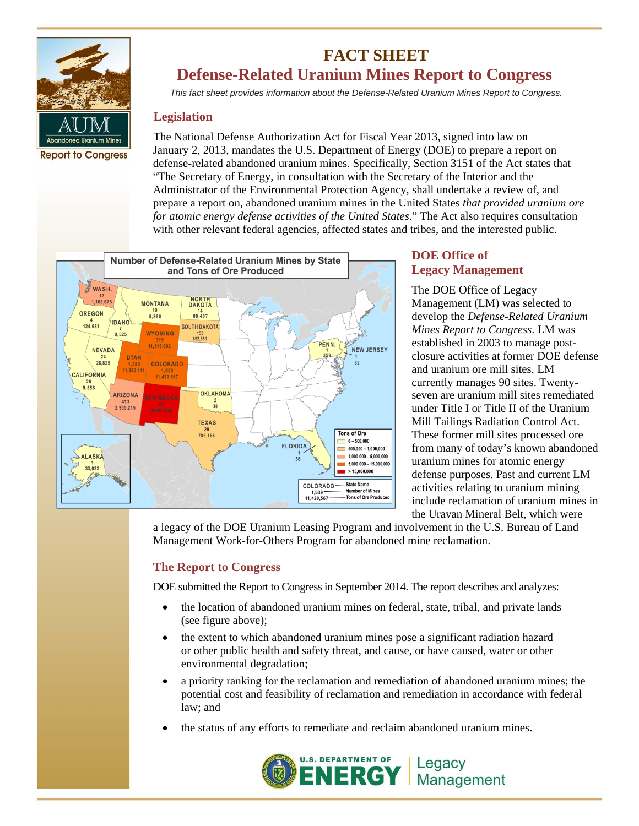

# **FACT SHEET Defense-Related Uranium Mines Report to Congress**

*This fact sheet provides information about the Defense-Related Uranium Mines Report to Congress.*

### **Legislation**

The National Defense Authorization Act for Fiscal Year 2013, signed into law on January 2, 2013, mandates the U.S. Department of Energy (DOE) to prepare a report on defense-related abandoned uranium mines. Specifically, Section 3151 of the Act states that "The Secretary of Energy, in consultation with the Secretary of the Interior and the Administrator of the Environmental Protection Agency, shall undertake a review of, and prepare a report on, abandoned uranium mines in the United States *that provided uranium ore for atomic energy defense activities of the United States*." The Act also requires consultation with other relevant federal agencies, affected states and tribes, and the interested public.



## **DOE Office of Legacy Management**

The DOE Office of Legacy Management (LM) was selected to develop the *Defense-Related Uranium Mines Report to Congress*. LM was established in 2003 to manage postclosure activities at former DOE defense and uranium ore mill sites. LM currently manages 90 sites. Twentyseven are uranium mill sites remediated under Title I or Title II of the Uranium Mill Tailings Radiation Control Act. These former mill sites processed ore from many of today's known abandoned uranium mines for atomic energy defense purposes. Past and current LM activities relating to uranium mining include reclamation of uranium mines in the Uravan Mineral Belt, which were

a legacy of the DOE Uranium Leasing Program and involvement in the U.S. Bureau of Land Management Work-for-Others Program for abandoned mine reclamation.

# **The Report to Congress**

DOE submitted the Report to Congress in September 2014. The report describes and analyzes:

- the location of abandoned uranium mines on federal, state, tribal, and private lands (see figure above);
- the extent to which abandoned uranium mines pose a significant radiation hazard or other public health and safety threat, and cause, or have caused, water or other environmental degradation;
- a priority ranking for the reclamation and remediation of abandoned uranium mines; the potential cost and feasibility of reclamation and remediation in accordance with federal law; and
- the status of any efforts to remediate and reclaim abandoned uranium mines.